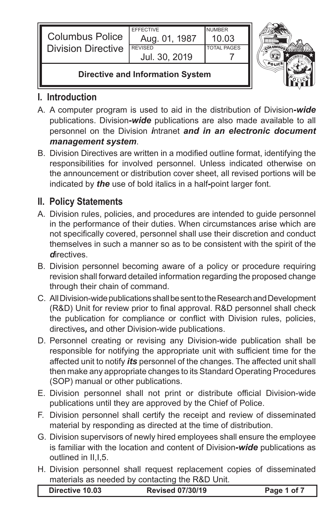| <b>Columbus Police</b><br><b>Division Directive</b> | <b>FFFFCTIVE</b><br>Aug. 01, 1987<br><b>REVISED</b><br>Jul. 30, 2019 | <b>NUMBER</b><br>10 03<br><b>TOTAL PAGES</b> |  |
|-----------------------------------------------------|----------------------------------------------------------------------|----------------------------------------------|--|
| Divastive and Information Custom                    |                                                                      |                                              |  |

## **Directive and Information System**

# **I. Introduction**

- A. A computer program is used to aid in the distribution of Division*-wide* publications. Division*-wide* publications are also made available to all personnel on the Division *i*ntranet *and in an electronic document management system*.
- B. Division Directives are written in a modified outline format, identifying the responsibilities for involved personnel. Unless indicated otherwise on the announcement or distribution cover sheet, all revised portions will be indicated by *the* use of bold italics in a half*-*point larger font.

## **II. Policy Statements**

- A. Division rules, policies, and procedures are intended to guide personnel in the performance of their duties. When circumstances arise which are not specifically covered, personnel shall use their discretion and conduct themselves in such a manner so as to be consistent with the spirit of the *d*irectives.
- B. Division personnel becoming aware of a policy or procedure requiring revision shall forward detailed information regarding the proposed change through their chain of command.
- C. All Division-wide publications shall be sent to the Research and Development (R&D) Unit for review prior to final approval. R&D personnel shall check the publication for compliance or conflict with Division rules, policies, directives*,* and other Division-wide publications.
- D. Personnel creating or revising any Division-wide publication shall be responsible for notifying the appropriate unit with sufficient time for the affected unit to notify *its* personnel of the changes. The affected unit shall then make any appropriate changes to its Standard Operating Procedures (SOP) manual or other publications.
- E. Division personnel shall not print or distribute official Division-wide publications until they are approved by the Chief of Police.
- F. Division personnel shall certify the receipt and review of disseminated material by responding as directed at the time of distribution.
- G. Division supervisors of newly hired employees shall ensure the employee is familiar with the location and content of Division*-wide* publications as outlined in II,I,5.
- H. Division personnel shall request replacement copies of disseminated materials as needed by contacting the R&D Unit.

| <b>Revised 07/30/19</b><br>Directive 10.03 | Page 1 of 7 |
|--------------------------------------------|-------------|
|--------------------------------------------|-------------|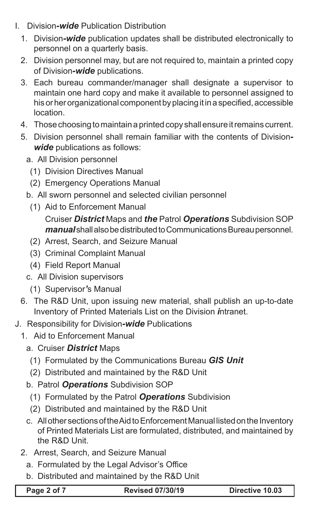- I. Division*-wide* Publication Distribution
	- 1. Division*-wide* publication updates shall be distributed electronically to personnel on a quarterly basis.
	- 2. Division personnel may, but are not required to, maintain a printed copy of Division*-wide* publications.
	- 3. Each bureau commander/manager shall designate a supervisor to maintain one hard copy and make it available to personnel assigned to his or her organizational component by placing it in a specified, accessible location.
	- 4. Those choosing to maintain a printed copy shall ensure it remains current.
	- 5. Division personnel shall remain familiar with the contents of Division*wide* publications as follows:
		- a. All Division personnel
			- (1) Division Directives Manual
			- (2) Emergency Operations Manual
		- b. All sworn personnel and selected civilian personnel
			- (1) Aid to Enforcement Manual Cruiser *District* Maps and *the* Patrol *Operations* Subdivision SOP *manual* shall also be distributed to Communications Bureau personnel.
			- (2) Arrest, Search, and Seizure Manual
			- (3) Criminal Complaint Manual
			- (4) Field Report Manual
		- c. All Division supervisors
			- (1) Supervisor*'*s Manual
	- 6. The R&D Unit, upon issuing new material, shall publish an up-to-date Inventory of Printed Materials List on the Division *i*ntranet.
- J. Responsibility for Division*-wide* Publications
	- 1. Aid to Enforcement Manual
		- a. Cruiser *District* Maps
			- (1) Formulated by the Communications Bureau *GIS Unit*
			- (2) Distributed and maintained by the R&D Unit
		- b. Patrol *Operations* Subdivision SOP
			- (1) Formulated by the Patrol *Operations* Subdivision
		- (2) Distributed and maintained by the R&D Unit
		- c. All other sections of the Aid to Enforcement Manual listed on the Inventory of Printed Materials List are formulated, distributed, and maintained by the R&D Unit.
	- 2. Arrest, Search, and Seizure Manual
		- a. Formulated by the Legal Advisor's Office
		- b. Distributed and maintained by the R&D Unit

**Page 2 of 7 Revised 07/30/19 Directive 10.03**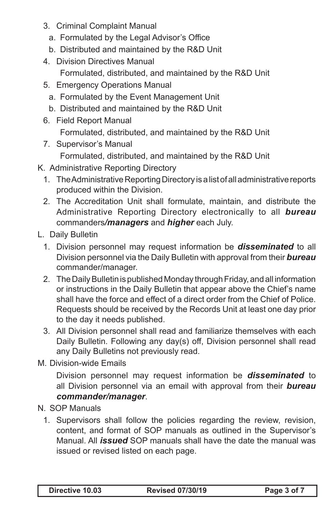- 3. Criminal Complaint Manual
	- a. Formulated by the Legal Advisor's Office
	- b. Distributed and maintained by the R&D Unit
- 4. Division Directives Manual
	- Formulated, distributed, and maintained by the R&D Unit
- 5. Emergency Operations Manual
	- a. Formulated by the Event Management Unit
	- b. Distributed and maintained by the R&D Unit
- 6. Field Report Manual

 Formulated, distributed, and maintained by the R&D Unit

7. Supervisor's Manual

 Formulated, distributed, and maintained by the R&D Unit

- K. Administrative Reporting Directory
	- 1. The Administrative Reporting Directory is a list of all administrative reports produced within the Division.
	- 2. The Accreditation Unit shall formulate, maintain, and distribute the Administrative Reporting Directory electronically to all *bureau*  commanders*/managers* and *higher* each July.
- L. Daily Bulletin
	- 1. Division personnel may request information be **disseminated** to all Division personnel via the Daily Bulletin with approval from their *bureau*  commander/manager.
	- 2. The Daily Bulletin is published Monday through Friday, and all information or instructions in the Daily Bulletin that appear above the Chief's name shall have the force and effect of a direct order from the Chief of Police. Requests should be received by the Records Unit at least one day prior to the day it needs published.
	- 3. All Division personnel shall read and familiarize themselves with each Daily Bulletin. Following any day(s) off, Division personnel shall read any Daily Bulletins not previously read.
- M. Division-wide Emails

 Division personnel may request information be *disseminated* to all Division personnel via an email with approval from their *bureau commander/manager*.

- N. SOP Manuals
	- 1. Supervisors shall follow the policies regarding the review, revision, content, and format of SOP manuals as outlined in the Supervisor's Manual. All *issued* SOP manuals shall have the date the manual was issued or revised listed on each page.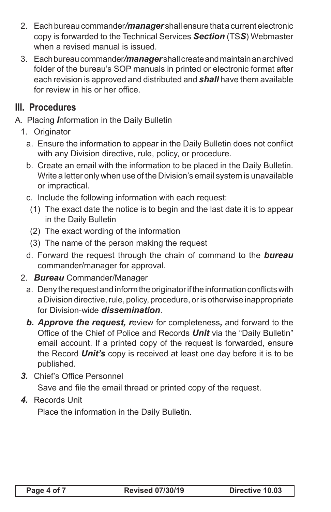- 2. Each bureau commander*/manager* shall ensure that a current electronic copy is forwarded to the Technical Services *Section* (TS*S*) Webmaster when a revised manual is issued.
- 3. Each bureau commander*/manager* shall create and maintain an archived folder of the bureau's SOP manuals in printed or electronic format after each revision is approved and distributed and *shall* have them available for review in his or her office.

## **III. Procedures**

- A. Placing *I*nformation in the Daily Bulletin
	- 1. Originator
		- a. Ensure the information to appear in the Daily Bulletin does not conflict with any Division directive, rule, policy, or procedure.
		- b. Create an email with the information to be placed in the Daily Bulletin. Write a letter only when use of the Division's email system is unavailable or impractical.
		- c. Include the following information with each request:
			- (1) The exact date the notice is to begin and the last date it is to appear in the Daily Bulletin
			- (2) The exact wording of the information
			- (3) The name of the person making the request
		- d. Forward the request through the chain of command to the **bureau** commander/manager for approval.
	- 2. *Bureau* Commander/Manager
		- a. Deny the request and inform the originator if the information conflicts with a Division directive, rule, policy, procedure, or is otherwise inappropriate for Division-wide *dissemination*.
		- *b. Approve the request, r*eview for completeness*,* and forward to the Office of the Chief of Police and Records *Unit* via the "Daily Bulletin" email account. If a printed copy of the request is forwarded, ensure the Record *Unit's* copy is received at least one day before it is to be published.
	- *3.* Chief's Office Personnel

 Save and file the email thread or printed copy of the request.

*4.* Records Unit

 Place the information in the Daily Bulletin.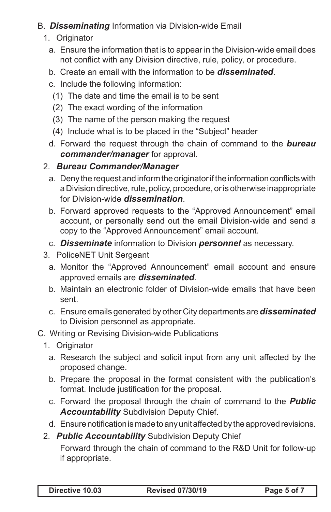#### B. *Disseminating* Information via Division-wide Email

- 1. Originator
	- a. Ensure the information that is to appear in the Division-wide email does not conflict with any Division directive, rule, policy, or procedure.
	- b. Create an email with the information to be *disseminated*.
	- c. Include the following information:
		- (1) The date and time the email is to be sent
		- (2) The exact wording of the information
		- (3) The name of the person making the request
		- (4) Include what is to be placed in the "Subject" header
	- d. Forward the request through the chain of command to the **bureau** *commander/manager* for approval.

## 2. *Bureau Commander/Manager*

- a. Deny the request and inform the originator if the information conflicts with a Division directive, rule, policy, procedure, or is otherwise inappropriate for Division-wide *dissemination*.
- b. Forward approved requests to the "Approved Announcement" email account, or personally send out the email Division-wide and send a copy to the "Approved Announcement" email account.
- c. *Disseminate* information to Division *personnel* as necessary.
- 3. PoliceNET Unit Sergeant
	- a. Monitor the "Approved Announcement" email account and ensure approved emails are *disseminated*.
	- b. Maintain an electronic folder of Division-wide emails that have been sent.
	- c. Ensure emails generated by other City departments are*disseminated*  to Division personnel as appropriate.
- C. Writing or Revising Division-wide Publications
	- 1. Originator
		- a. Research the subject and solicit input from any unit affected by the proposed change.
		- b. Prepare the proposal in the format consistent with the publication's format. Include justification for the proposal.
		- c. Forward the proposal through the chain of command to the *Public Accountability* Subdivision Deputy Chief.
		- d. Ensure notification is made to any unit affected by the approved revisions.
	- 2. *Public Accountability* Subdivision Deputy Chief

Forward through the chain of command to the R&D Unit for follow-up if appropriate.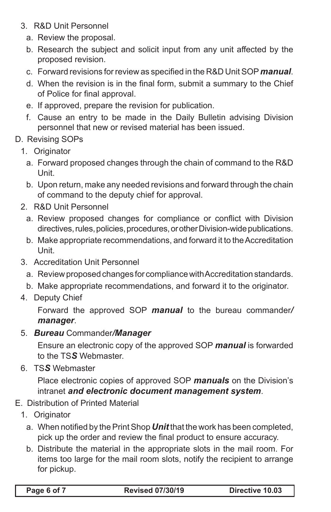- 3. R&D Unit Personnel
	- a. Review the proposal.
	- b. Research the subject and solicit input from any unit affected by the proposed revision.
	- c. Forward revisions forreview as specified in the R&D UnitSOP*manual*.
	- d. When the revision is in the final form, submit a summary to the Chief of Police for final approval.
	- e. If approved, prepare the revision for publication.
	- f. Cause an entry to be made in the Daily Bulletin advising Division personnel that new or revised material has been issued.
- D. Revising SOPs
	- 1. Originator
		- a. Forward proposed changes through the chain of command to the R&D Unit.
		- b. Upon return, make any needed revisions and forward through the chain of command to the deputy chief for approval.
	- 2. R&D Unit Personnel
		- a. Review proposed changes for compliance or conflict with Division directives, rules, policies, procedures, or other Division-wide publications.
		- b. Make appropriate recommendations, and forward it to the Accreditation Unit.
	- 3. Accreditation Unit Personnel
		- a. Review proposed changes for compliance with Accreditation standards.
		- b. Make appropriate recommendations, and forward it to the originator.
	- 4. Deputy Chief

Forward the approved SOP *manual* to the bureau commander*/ manager*.

5. *Bureau* Commander*/Manager*

 Ensure an electronic copy of the approved SOP *manual* is forwarded to the TS*S* Webmaster.

6. TS*S* Webmaster

Place electronic copies of approved SOP *manuals* on the Division's intranet *and electronic document management system*.

- E. Distribution of Printed Material
	- 1. Originator
		- a. When notified by the Print Shop **Unit** that the work has been completed, pick up the order and review the final product to ensure accuracy.
		- b. Distribute the material in the appropriate slots in the mail room. For items too large for the mail room slots, notify the recipient to arrange for pickup.